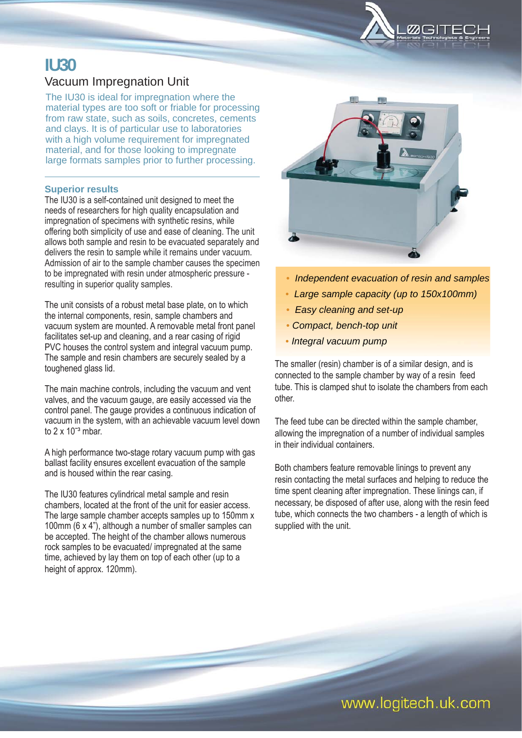

# **IU30**  Vacuum Impregnation Unit

The IU30 is ideal for impregnation where the material types are too soft or friable for processing from raw state, such as soils, concretes, cements and clays. It is of particular use to laboratories with a high volume requirement for impregnated material, and for those looking to impregnate large formats samples prior to further processing.

### **Superior results**

The IU30 is a self-contained unit designed to meet the needs of researchers for high quality encapsulation and impregnation of specimens with synthetic resins, while offering both simplicity of use and ease of cleaning. The unit allows both sample and resin to be evacuated separately and delivers the resin to sample while it remains under vacuum. Admission of air to the sample chamber causes the specimen to be impregnated with resin under atmospheric pressure resulting in superior quality samples.

The unit consists of a robust metal base plate, on to which the internal components, resin, sample chambers and vacuum system are mounted. A removable metal front panel facilitates set-up and cleaning, and a rear casing of rigid PVC houses the control system and integral vacuum pump. The sample and resin chambers are securely sealed by a toughened glass lid.

The main machine controls, including the vacuum and vent valves, and the vacuum gauge, are easily accessed via the control panel. The gauge provides a continuous indication of vacuum in the system, with an achievable vacuum level down to  $2 \times 10^{-3}$  mbar.

A high performance two-stage rotary vacuum pump with gas ballast facility ensures excellent evacuation of the sample and is housed within the rear casing.

The IU30 features cylindrical metal sample and resin chambers, located at the front of the unit for easier access. The large sample chamber accepts samples up to 150mm x 100mm (6 x 4"), although a number of smaller samples can be accepted. The height of the chamber allows numerous rock samples to be evacuated/ impregnated at the same time, achieved by lay them on top of each other (up to a height of approx. 120mm).



- *Independent evacuation of resin and samples*
- *Large sample capacity (up to 150x100mm)*
- *Easy cleaning and set-up*
- *Compact, bench-top unit*
- • *Integral vacuum pump*

The smaller (resin) chamber is of a similar design, and is connected to the sample chamber by way of a resin feed tube. This is clamped shut to isolate the chambers from each other.

The feed tube can be directed within the sample chamber, allowing the impregnation of a number of individual samples in their individual containers.

Both chambers feature removable linings to prevent any resin contacting the metal surfaces and helping to reduce the time spent cleaning after impregnation. These linings can, if necessary, be disposed of after use, along with the resin feed tube, which connects the two chambers - a length of which is supplied with the unit.